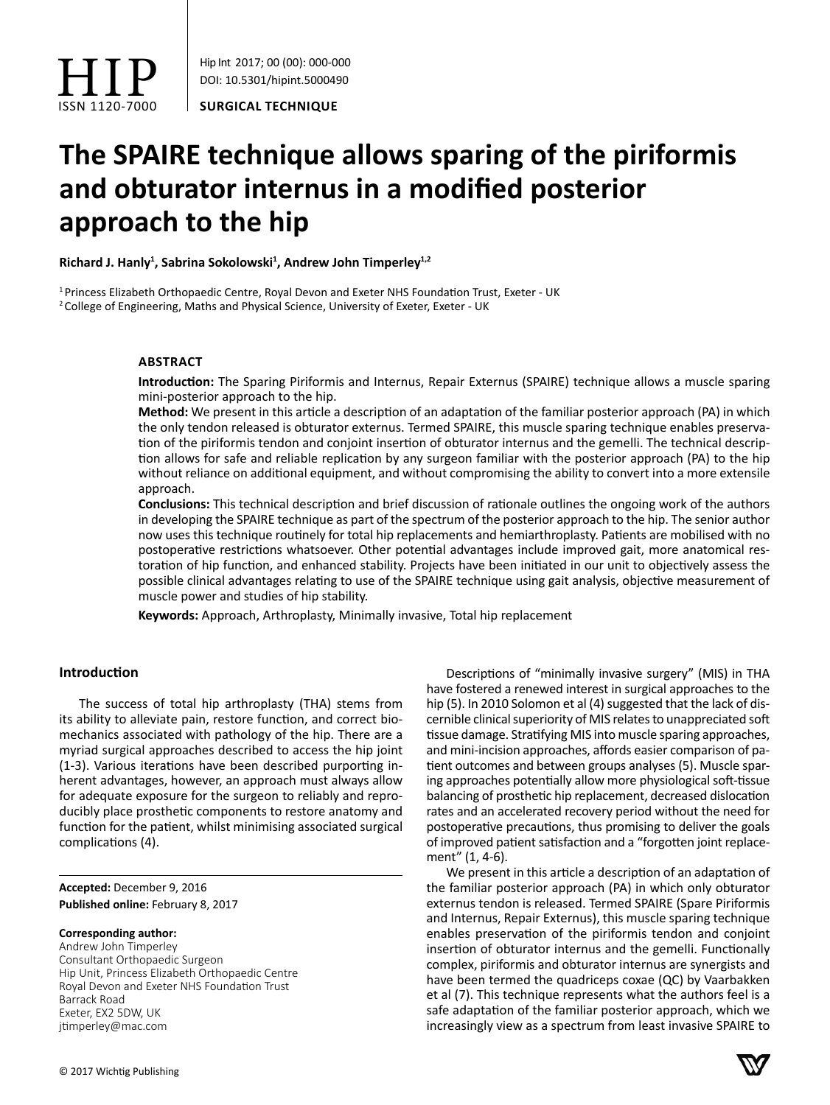

Hip Int 2017; 00 (00): 000-000 DOI: 10.5301/hipint.5000490

**SURGICAL TECHNIQUE** 

# **The SPAIRE technique allows sparing of the piriformis and obturator internus in a modified posterior approach to the hip**

Richard J. Hanly<sup>1</sup>, Sabrina Sokolowski<sup>1</sup>, Andrew John Timperley<sup>1,2</sup>

<sup>1</sup> Princess Elizabeth Orthopaedic Centre, Royal Devon and Exeter NHS Foundation Trust, Exeter - UK <sup>2</sup> College of Engineering, Maths and Physical Science, University of Exeter, Exeter - UK

## **ABSTRACT**

**Introduction:** The Sparing Piriformis and Internus, Repair Externus (SPAIRE) technique allows a muscle sparing mini-posterior approach to the hip.

**Method:** We present in this article a description of an adaptation of the familiar posterior approach (PA) in which the only tendon released is obturator externus. Termed SPAIRE, this muscle sparing technique enables preservation of the piriformis tendon and conjoint insertion of obturator internus and the gemelli. The technical description allows for safe and reliable replication by any surgeon familiar with the posterior approach (PA) to the hip without reliance on additional equipment, and without compromising the ability to convert into a more extensile approach.

**Conclusions:** This technical description and brief discussion of rationale outlines the ongoing work of the authors in developing the SPAIRE technique as part of the spectrum of the posterior approach to the hip. The senior author now uses this technique routinely for total hip replacements and hemiarthroplasty. Patients are mobilised with no postoperative restrictions whatsoever. Other potential advantages include improved gait, more anatomical restoration of hip function, and enhanced stability. Projects have been initiated in our unit to objectively assess the possible clinical advantages relating to use of the SPAIRE technique using gait analysis, objective measurement of muscle power and studies of hip stability.

**Keywords:** Approach, Arthroplasty, Minimally invasive, Total hip replacement

## **Introduction**

The success of total hip arthroplasty (THA) stems from its ability to alleviate pain, restore function, and correct biomechanics associated with pathology of the hip. There are a myriad surgical approaches described to access the hip joint (1-3). Various iterations have been described purporting inherent advantages, however, an approach must always allow for adequate exposure for the surgeon to reliably and reproducibly place prosthetic components to restore anatomy and function for the patient, whilst minimising associated surgical complications (4).

**Accepted:** December 9, 2016 **Published online:** February 8, 2017

#### **Corresponding author:**

Andrew John Timperley Consultant Orthopaedic Surgeon Hip Unit, Princess Elizabeth Orthopaedic Centre Royal Devon and Exeter NHS Foundation Trust Barrack Road Exeter, EX2 5DW, UK jtimperley@mac.com

Descriptions of "minimally invasive surgery" (MIS) in THA have fostered a renewed interest in surgical approaches to the hip (5). In 2010 Solomon et al (4) suggested that the lack of discernible clinical superiority of MIS relates to unappreciated soft tissue damage. Stratifying MIS into muscle sparing approaches, and mini-incision approaches, affords easier comparison of patient outcomes and between groups analyses (5). Muscle sparing approaches potentially allow more physiological soft-tissue balancing of prosthetic hip replacement, decreased dislocation rates and an accelerated recovery period without the need for postoperative precautions, thus promising to deliver the goals of improved patient satisfaction and a "forgotten joint replacement" (1, 4-6).

We present in this article a description of an adaptation of the familiar posterior approach (PA) in which only obturator externus tendon is released. Termed SPAIRE (Spare Piriformis and Internus, Repair Externus), this muscle sparing technique enables preservation of the piriformis tendon and conjoint insertion of obturator internus and the gemelli. Functionally complex, piriformis and obturator internus are synergists and have been termed the quadriceps coxae (QC) by Vaarbakken et al (7). This technique represents what the authors feel is a safe adaptation of the familiar posterior approach, which we increasingly view as a spectrum from least invasive SPAIRE to

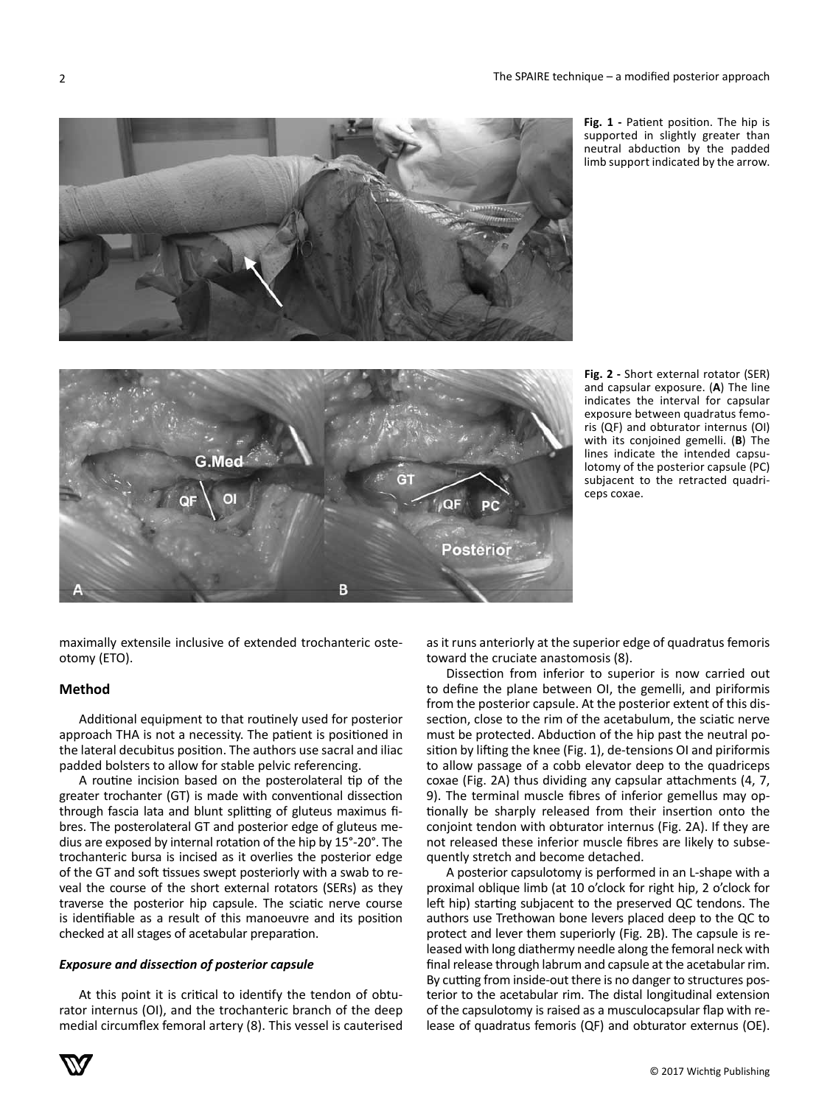

B

**Fig. 1 -** Patient position. The hip is supported in slightly greater than neutral abduction by the padded limb support indicated by the arrow.

**Fig. 2 -** Short external rotator (SER) and capsular exposure. (**A**) The line indicates the interval for capsular exposure between quadratus femoris (QF) and obturator internus (OI) with its conjoined gemelli. (**B**) The lines indicate the intended capsulotomy of the posterior capsule (PC) subjacent to the retracted quadriceps coxae.

maximally extensile inclusive of extended trochanteric osteotomy (ETO).

## **Method**

Additional equipment to that routinely used for posterior approach THA is not a necessity. The patient is positioned in the lateral decubitus position. The authors use sacral and iliac padded bolsters to allow for stable pelvic referencing.

A routine incision based on the posterolateral tip of the greater trochanter (GT) is made with conventional dissection through fascia lata and blunt splitting of gluteus maximus fibres. The posterolateral GT and posterior edge of gluteus medius are exposed by internal rotation of the hip by 15°-20°. The trochanteric bursa is incised as it overlies the posterior edge of the GT and soft tissues swept posteriorly with a swab to reveal the course of the short external rotators (SERs) as they traverse the posterior hip capsule. The sciatic nerve course is identifiable as a result of this manoeuvre and its position checked at all stages of acetabular preparation.

## *Exposure and dissection of posterior capsule*

At this point it is critical to identify the tendon of obturator internus (OI), and the trochanteric branch of the deep medial circumflex femoral artery (8). This vessel is cauterised as it runs anteriorly at the superior edge of quadratus femoris toward the cruciate anastomosis (8).

Dissection from inferior to superior is now carried out to define the plane between OI, the gemelli, and piriformis from the posterior capsule. At the posterior extent of this dissection, close to the rim of the acetabulum, the sciatic nerve must be protected. Abduction of the hip past the neutral position by lifting the knee (Fig. 1), de-tensions OI and piriformis to allow passage of a cobb elevator deep to the quadriceps coxae (Fig. 2A) thus dividing any capsular attachments (4, 7, 9). The terminal muscle fibres of inferior gemellus may optionally be sharply released from their insertion onto the conjoint tendon with obturator internus (Fig. 2A). If they are not released these inferior muscle fibres are likely to subsequently stretch and become detached.

A posterior capsulotomy is performed in an L-shape with a proximal oblique limb (at 10 o'clock for right hip, 2 o'clock for left hip) starting subjacent to the preserved QC tendons. The authors use Trethowan bone levers placed deep to the QC to protect and lever them superiorly (Fig. 2B). The capsule is released with long diathermy needle along the femoral neck with final release through labrum and capsule at the acetabular rim. By cutting from inside-out there is no danger to structures posterior to the acetabular rim. The distal longitudinal extension of the capsulotomy is raised as a musculocapsular flap with release of quadratus femoris (QF) and obturator externus (OE).

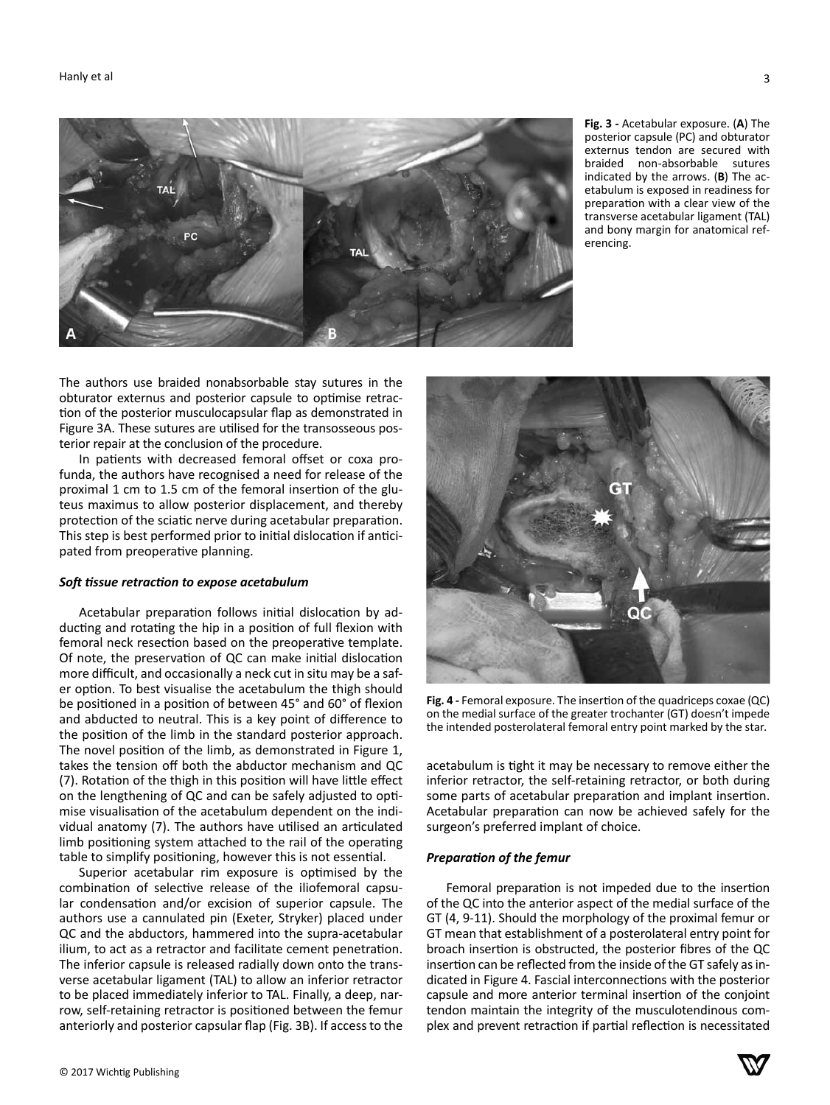

**Fig. 3 -** Acetabular exposure. (**A**) The posterior capsule (PC) and obturator externus tendon are secured with braided non-absorbable sutures indicated by the arrows. (**B**) The acetabulum is exposed in readiness for preparation with a clear view of the transverse acetabular ligament (TAL) and bony margin for anatomical referencing.

The authors use braided nonabsorbable stay sutures in the obturator externus and posterior capsule to optimise retraction of the posterior musculocapsular flap as demonstrated in Figure 3A. These sutures are utilised for the transosseous posterior repair at the conclusion of the procedure.

In patients with decreased femoral offset or coxa profunda, the authors have recognised a need for release of the proximal 1 cm to 1.5 cm of the femoral insertion of the gluteus maximus to allow posterior displacement, and thereby protection of the sciatic nerve during acetabular preparation. This step is best performed prior to initial dislocation if anticipated from preoperative planning.

#### *Soft tissue retraction to expose acetabulum*

Acetabular preparation follows initial dislocation by adducting and rotating the hip in a position of full flexion with femoral neck resection based on the preoperative template. Of note, the preservation of QC can make initial dislocation more difficult, and occasionally a neck cut in situ may be a safer option. To best visualise the acetabulum the thigh should be positioned in a position of between 45° and 60° of flexion and abducted to neutral. This is a key point of difference to the position of the limb in the standard posterior approach. The novel position of the limb, as demonstrated in Figure 1, takes the tension off both the abductor mechanism and QC (7). Rotation of the thigh in this position will have little effect on the lengthening of QC and can be safely adjusted to optimise visualisation of the acetabulum dependent on the individual anatomy (7). The authors have utilised an articulated limb positioning system attached to the rail of the operating table to simplify positioning, however this is not essential.

Superior acetabular rim exposure is optimised by the combination of selective release of the iliofemoral capsular condensation and/or excision of superior capsule. The authors use a cannulated pin (Exeter, Stryker) placed under QC and the abductors, hammered into the supra-acetabular ilium, to act as a retractor and facilitate cement penetration. The inferior capsule is released radially down onto the transverse acetabular ligament (TAL) to allow an inferior retractor to be placed immediately inferior to TAL. Finally, a deep, narrow, self-retaining retractor is positioned between the femur anteriorly and posterior capsular flap (Fig. 3B). If access to the



**Fig. 4 -** Femoral exposure. The insertion of the quadriceps coxae (QC) on the medial surface of the greater trochanter (GT) doesn't impede the intended posterolateral femoral entry point marked by the star.

acetabulum is tight it may be necessary to remove either the inferior retractor, the self-retaining retractor, or both during some parts of acetabular preparation and implant insertion. Acetabular preparation can now be achieved safely for the surgeon's preferred implant of choice.

#### *Preparation of the femur*

Femoral preparation is not impeded due to the insertion of the QC into the anterior aspect of the medial surface of the GT (4, 9-11). Should the morphology of the proximal femur or GT mean that establishment of a posterolateral entry point for broach insertion is obstructed, the posterior fibres of the QC insertion can be reflected from the inside of the GT safely as indicated in Figure 4. Fascial interconnections with the posterior capsule and more anterior terminal insertion of the conjoint tendon maintain the integrity of the musculotendinous complex and prevent retraction if partial reflection is necessitated

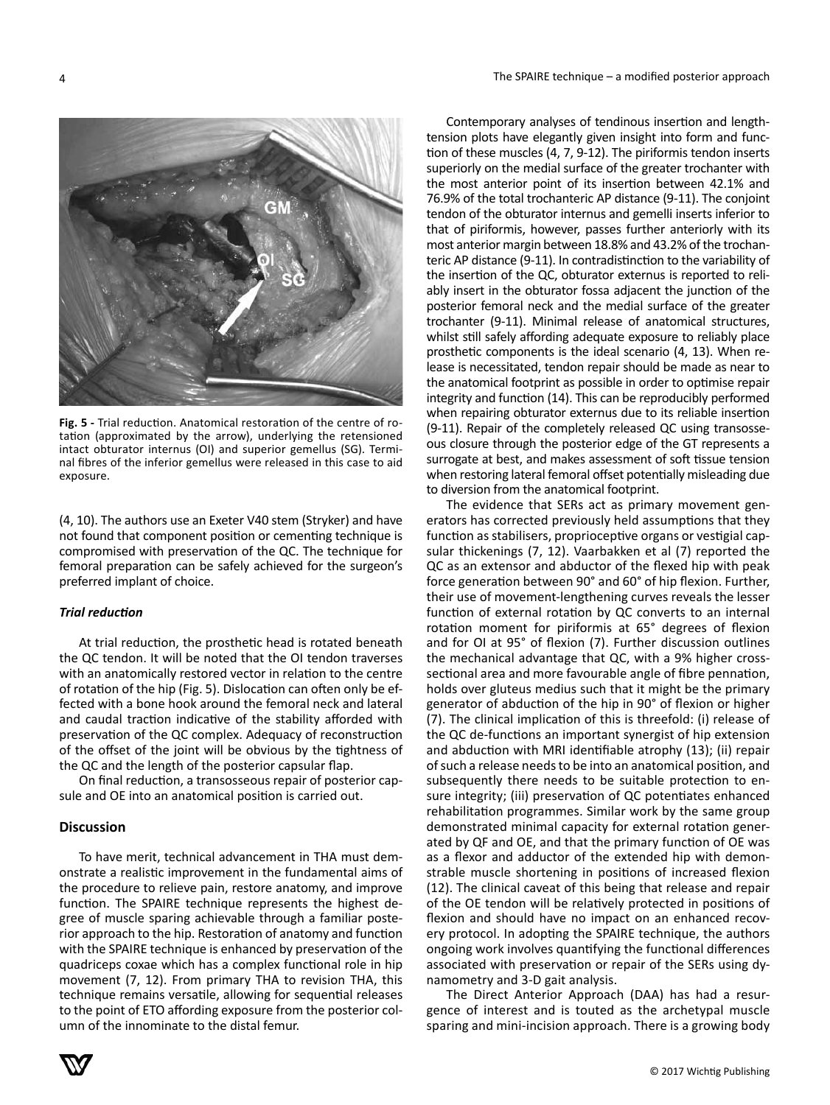4 The SPAIRE technique – a modified posterior approach



**Fig. 5 -** Trial reduction. Anatomical restoration of the centre of rotation (approximated by the arrow), underlying the retensioned intact obturator internus (OI) and superior gemellus (SG). Terminal fibres of the inferior gemellus were released in this case to aid exposure.

(4, 10). The authors use an Exeter V40 stem (Stryker) and have not found that component position or cementing technique is compromised with preservation of the QC. The technique for femoral preparation can be safely achieved for the surgeon's preferred implant of choice.

#### *Trial reduction*

At trial reduction, the prosthetic head is rotated beneath the QC tendon. It will be noted that the OI tendon traverses with an anatomically restored vector in relation to the centre of rotation of the hip (Fig. 5). Dislocation can often only be effected with a bone hook around the femoral neck and lateral and caudal traction indicative of the stability afforded with preservation of the QC complex. Adequacy of reconstruction of the offset of the joint will be obvious by the tightness of the QC and the length of the posterior capsular flap.

On final reduction, a transosseous repair of posterior capsule and OE into an anatomical position is carried out.

## **Discussion**

To have merit, technical advancement in THA must demonstrate a realistic improvement in the fundamental aims of the procedure to relieve pain, restore anatomy, and improve function. The SPAIRE technique represents the highest degree of muscle sparing achievable through a familiar posterior approach to the hip. Restoration of anatomy and function with the SPAIRE technique is enhanced by preservation of the quadriceps coxae which has a complex functional role in hip movement (7, 12). From primary THA to revision THA, this technique remains versatile, allowing for sequential releases to the point of ETO affording exposure from the posterior column of the innominate to the distal femur.

Contemporary analyses of tendinous insertion and lengthtension plots have elegantly given insight into form and function of these muscles (4, 7, 9-12). The piriformis tendon inserts superiorly on the medial surface of the greater trochanter with the most anterior point of its insertion between 42.1% and 76.9% of the total trochanteric AP distance (9-11). The conjoint tendon of the obturator internus and gemelli inserts inferior to that of piriformis, however, passes further anteriorly with its most anterior margin between 18.8% and 43.2% of the trochanteric AP distance (9-11). In contradistinction to the variability of the insertion of the QC, obturator externus is reported to reliably insert in the obturator fossa adjacent the junction of the posterior femoral neck and the medial surface of the greater trochanter (9-11). Minimal release of anatomical structures, whilst still safely affording adequate exposure to reliably place prosthetic components is the ideal scenario (4, 13). When release is necessitated, tendon repair should be made as near to the anatomical footprint as possible in order to optimise repair integrity and function (14). This can be reproducibly performed when repairing obturator externus due to its reliable insertion (9-11). Repair of the completely released QC using transosseous closure through the posterior edge of the GT represents a surrogate at best, and makes assessment of soft tissue tension when restoring lateral femoral offset potentially misleading due to diversion from the anatomical footprint.

The evidence that SERs act as primary movement generators has corrected previously held assumptions that they function as stabilisers, proprioceptive organs or vestigial capsular thickenings (7, 12). Vaarbakken et al (7) reported the QC as an extensor and abductor of the flexed hip with peak force generation between 90° and 60° of hip flexion. Further, their use of movement-lengthening curves reveals the lesser function of external rotation by QC converts to an internal rotation moment for piriformis at 65° degrees of flexion and for OI at 95° of flexion (7). Further discussion outlines the mechanical advantage that QC, with a 9% higher crosssectional area and more favourable angle of fibre pennation, holds over gluteus medius such that it might be the primary generator of abduction of the hip in 90° of flexion or higher (7). The clinical implication of this is threefold: (i) release of the QC de-functions an important synergist of hip extension and abduction with MRI identifiable atrophy (13); (ii) repair of such a release needs to be into an anatomical position, and subsequently there needs to be suitable protection to ensure integrity; (iii) preservation of QC potentiates enhanced rehabilitation programmes. Similar work by the same group demonstrated minimal capacity for external rotation generated by QF and OE, and that the primary function of OE was as a flexor and adductor of the extended hip with demonstrable muscle shortening in positions of increased flexion (12). The clinical caveat of this being that release and repair of the OE tendon will be relatively protected in positions of flexion and should have no impact on an enhanced recovery protocol. In adopting the SPAIRE technique, the authors ongoing work involves quantifying the functional differences associated with preservation or repair of the SERs using dynamometry and 3-D gait analysis.

The Direct Anterior Approach (DAA) has had a resurgence of interest and is touted as the archetypal muscle sparing and mini-incision approach. There is a growing body